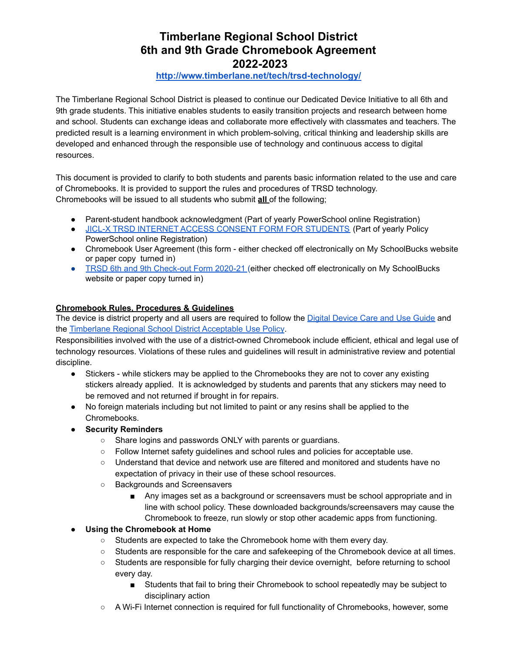## **Timberlane Regional School District 6th and 9th Grade Chromebook Agreement 2022-2023**

## **<http://www.timberlane.net/tech/trsd-technology/>**

The Timberlane Regional School District is pleased to continue our Dedicated Device Initiative to all 6th and 9th grade students. This initiative enables students to easily transition projects and research between home and school. Students can exchange ideas and collaborate more effectively with classmates and teachers. The predicted result is a learning environment in which problem-solving, critical thinking and leadership skills are developed and enhanced through the responsible use of technology and continuous access to digital resources.

This document is provided to clarify to both students and parents basic information related to the use and care of Chromebooks. It is provided to support the rules and procedures of TRSD technology. Chromebooks will be issued to all students who submit **all** of the following;

- Parent-student handbook acknowledgment (Part of yearly PowerSchool online Registration)
- JICL-X TRSD INTERNET ACCESS CONSENT FORM FOR [STUDENTS](https://trsdpublic.timberlane.net/trsb/Policies/Procedures%20and%20Addendums%20to%20Timberlane%20Policies/J%20Student%20Procedures/JICL-X%20Acceptable%20Internet%20Use%20Release%20Form%20-%20Students.pdf) (Part of yearly Policy PowerSchool online Registration)
- Chromebook User Agreement (this form either checked off electronically on My SchoolBucks website or paper copy turned in)
- TRSD 6th and 9th [Check-out](https://docs.google.com/document/d/13s59Mx-GhCIdyKQsi27DvwlDdUS8ar1b2Di3bxwKTL8/edit?usp=sharing) Form 2020-21 (either checked off electronically on My SchoolBucks website or paper copy turned in)

## **Chromebook Rules, Procedures & Guidelines**

The device is district property and all users are required to follow the Digital [Device](https://docs.google.com/document/d/1ykQxaz7bxlnJFqRTxsh7oNViH_IRupPEPHFdwIZFdIE/view) Care and Use Guide and the [Timberlane](https://trsdpublic.timberlane.net/trsb/Policies/Procedures%20and%20Addendums%20to%20Timberlane%20Policies/J%20Student%20Procedures/JICL-R%20Acceptable%20Internet%20Use%20Procedures%20-%20Students.pdf) Regional School District Acceptable Use Policy.

Responsibilities involved with the use of a district-owned Chromebook include efficient, ethical and legal use of technology resources. Violations of these rules and guidelines will result in administrative review and potential discipline.

- Stickers while stickers may be applied to the Chromebooks they are not to cover any existing stickers already applied. It is acknowledged by students and parents that any stickers may need to be removed and not returned if brought in for repairs.
- No foreign materials including but not limited to paint or any resins shall be applied to the Chromebooks.
- **● Security Reminders**
	- Share logins and passwords ONLY with parents or guardians.
	- Follow Internet safety guidelines and school rules and policies for acceptable use.
	- Understand that device and network use are filtered and monitored and students have no expectation of privacy in their use of these school resources.
	- Backgrounds and Screensavers
		- Any images set as a background or screensavers must be school appropriate and in line with school policy. These downloaded backgrounds/screensavers may cause the Chromebook to freeze, run slowly or stop other academic apps from functioning.

**● Using the Chromebook at Home**

- Students are expected to take the Chromebook home with them every day.
- Students are responsible for the care and safekeeping of the Chromebook device at all times.
- Students are responsible for fully charging their device overnight, before returning to school every day.
	- Students that fail to bring their Chromebook to school repeatedly may be subject to disciplinary action
- A Wi-Fi Internet connection is required for full functionality of Chromebooks, however, some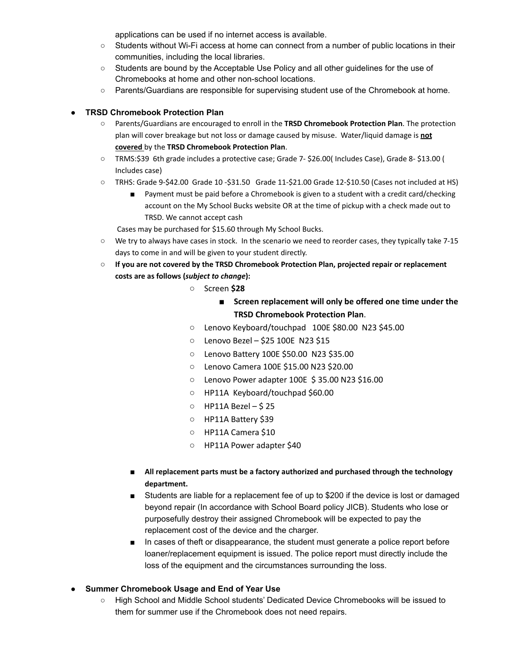applications can be used if no internet access is available.

- Students without Wi-Fi access at home can connect from a number of public locations in their communities, including the local libraries.
- Students are bound by the Acceptable Use Policy and all other guidelines for the use of Chromebooks at home and other non-school locations.
- Parents/Guardians are responsible for supervising student use of the Chromebook at home.

## **● TRSD Chromebook Protection Plan**

- Parents/Guardians are encouraged to enroll in the **TRSD Chromebook Protection Plan**. The protection plan will cover breakage but not loss or damage caused by misuse. Water/liquid damage is **not covered** by the **TRSD Chromebook Protection Plan**.
- TRMS:\$39 6th grade includes a protective case; Grade 7- \$26.00( Includes Case), Grade 8- \$13.00 ( Includes case)
- TRHS: Grade 9-\$42.00 Grade 10 -\$31.50 Grade 11-\$21.00 Grade 12-\$10.50 (Cases not included at HS)
	- Payment must be paid before a Chromebook is given to a student with a credit card/checking account on the My School Bucks website OR at the time of pickup with a check made out to TRSD. We cannot accept cash
	- Cases may be purchased for \$15.60 through My School Bucks.
- We try to always have cases in stock. In the scenario we need to reorder cases, they typically take 7-15 days to come in and will be given to your student directly.
- **○ If you are not covered by the TRSD Chromebook Protection Plan, projected repair or replacement costs are as follows (***subject to change***):**
	- Screen **\$28**
		- **Screen replacement will only be offered one time under the TRSD Chromebook Protection Plan**.
	- Lenovo Keyboard/touchpad 100E \$80.00 N23 \$45.00
	- Lenovo Bezel \$25 100E N23 \$15
	- Lenovo Battery 100E \$50.00 N23 \$35.00
	- Lenovo Camera 100E \$15.00 N23 \$20.00
	- Lenovo Power adapter 100E \$ 35.00 N23 \$16.00
	- HP11A Keyboard/touchpad \$60.00
	- HP11A Bezel \$ 25
	- HP11A Battery \$39
	- HP11A Camera \$10
	- HP11A Power adapter \$40
	- **■ All replacement parts must be a factory authorized and purchased through the technology department.**
	- Students are liable for a replacement fee of up to \$200 if the device is lost or damaged beyond repair (In accordance with School Board policy JICB). Students who lose or purposefully destroy their assigned Chromebook will be expected to pay the replacement cost of the device and the charger.
	- In cases of theft or disappearance, the student must generate a police report before loaner/replacement equipment is issued. The police report must directly include the loss of the equipment and the circumstances surrounding the loss.
- **● Summer Chromebook Usage and End of Year Use**
	- High School and Middle School students' Dedicated Device Chromebooks will be issued to them for summer use if the Chromebook does not need repairs.